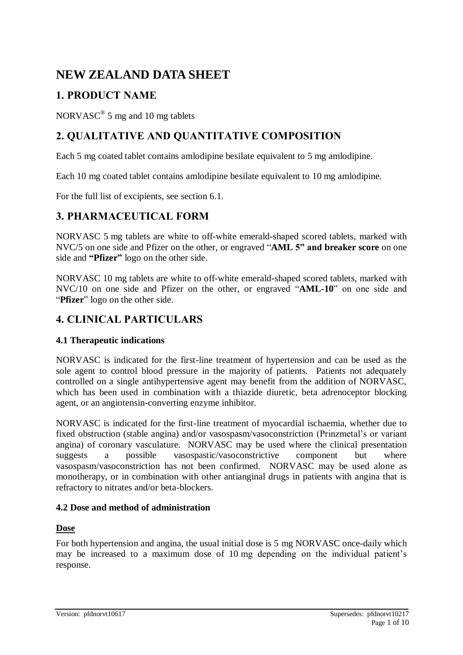# **NEW ZEALAND DATA SHEET**

# **1. PRODUCT NAME**

NORVASC<sup>®</sup> 5 mg and 10 mg tablets

# **2. QUALITATIVE AND QUANTITATIVE COMPOSITION**

Each 5 mg coated tablet contains amlodipine besilate equivalent to 5 mg amlodipine.

Each 10 mg coated tablet contains amlodipine besilate equivalent to 10 mg amlodipine.

For the full list of excipients, see section 6.1.

# **3. PHARMACEUTICAL FORM**

NORVASC 5 mg tablets are white to off-white emerald-shaped scored tablets, marked with NVC/5 on one side and Pfizer on the other, or engraved "**AML 5" and breaker score** on one side and **"Pfizer"** logo on the other side.

NORVASC 10 mg tablets are white to off-white emerald-shaped scored tablets, marked with NVC/10 on one side and Pfizer on the other, or engraved "**AML-10**" on one side and "**Pfizer**" logo on the other side.

# **4. CLINICAL PARTICULARS**

# **4.1 Therapeutic indications**

NORVASC is indicated for the first-line treatment of hypertension and can be used as the sole agent to control blood pressure in the majority of patients. Patients not adequately controlled on a single antihypertensive agent may benefit from the addition of NORVASC, which has been used in combination with a thiazide diuretic, beta adrenoceptor blocking agent, or an angiotensin-converting enzyme inhibitor.

NORVASC is indicated for the first-line treatment of myocardial ischaemia, whether due to fixed obstruction (stable angina) and/or vasospasm/vasoconstriction (Prinzmetal's or variant angina) of coronary vasculature. NORVASC may be used where the clinical presentation suggests a possible vasospastic/vasoconstrictive component but where vasospasm/vasoconstriction has not been confirmed. NORVASC may be used alone as monotherapy, or in combination with other antianginal drugs in patients with angina that is refractory to nitrates and/or beta-blockers.

# **4.2 Dose and method of administration**

## **Dose**

For both hypertension and angina, the usual initial dose is 5 mg NORVASC once-daily which may be increased to a maximum dose of 10 mg depending on the individual patient's response.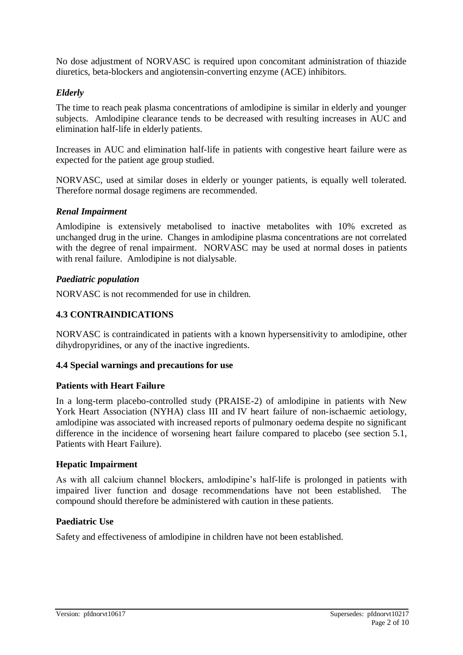No dose adjustment of NORVASC is required upon concomitant administration of thiazide diuretics, beta-blockers and angiotensin-converting enzyme (ACE) inhibitors.

# *Elderly*

The time to reach peak plasma concentrations of amlodipine is similar in elderly and younger subjects. Amlodipine clearance tends to be decreased with resulting increases in AUC and elimination half-life in elderly patients.

Increases in AUC and elimination half-life in patients with congestive heart failure were as expected for the patient age group studied.

NORVASC, used at similar doses in elderly or younger patients, is equally well tolerated. Therefore normal dosage regimens are recommended.

## *Renal Impairment*

Amlodipine is extensively metabolised to inactive metabolites with 10% excreted as unchanged drug in the urine. Changes in amlodipine plasma concentrations are not correlated with the degree of renal impairment. NORVASC may be used at normal doses in patients with renal failure. Amlodipine is not dialysable.

## *Paediatric population*

NORVASC is not recommended for use in children.

## **4.3 CONTRAINDICATIONS**

NORVASC is contraindicated in patients with a known hypersensitivity to amlodipine, other dihydropyridines, or any of the inactive ingredients.

## **4.4 Special warnings and precautions for use**

## **Patients with Heart Failure**

In a long-term placebo-controlled study (PRAISE-2) of amlodipine in patients with New York Heart Association (NYHA) class III and IV heart failure of non-ischaemic aetiology, amlodipine was associated with increased reports of pulmonary oedema despite no significant difference in the incidence of worsening heart failure compared to placebo (see section 5.1, Patients with Heart Failure).

## **Hepatic Impairment**

As with all calcium channel blockers, amlodipine's half-life is prolonged in patients with impaired liver function and dosage recommendations have not been established. The compound should therefore be administered with caution in these patients.

## **Paediatric Use**

Safety and effectiveness of amlodipine in children have not been established.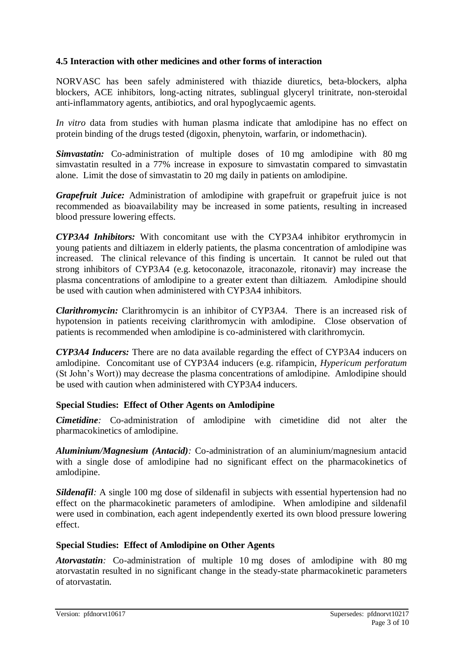# **4.5 Interaction with other medicines and other forms of interaction**

NORVASC has been safely administered with thiazide diuretics, beta-blockers, alpha blockers, ACE inhibitors, long-acting nitrates, sublingual glyceryl trinitrate, non-steroidal anti-inflammatory agents, antibiotics, and oral hypoglycaemic agents.

*In vitro* data from studies with human plasma indicate that amlodipine has no effect on protein binding of the drugs tested (digoxin, phenytoin, warfarin, or indomethacin).

*Simvastatin:* Co-administration of multiple doses of 10 mg amlodipine with 80 mg simvastatin resulted in a 77% increase in exposure to simvastatin compared to simvastatin alone. Limit the dose of simvastatin to 20 mg daily in patients on amlodipine.

*Grapefruit Juice:* Administration of amlodipine with grapefruit or grapefruit juice is not recommended as bioavailability may be increased in some patients, resulting in increased blood pressure lowering effects.

*CYP3A4 Inhibitors:* With concomitant use with the CYP3A4 inhibitor erythromycin in young patients and diltiazem in elderly patients, the plasma concentration of amlodipine was increased. The clinical relevance of this finding is uncertain. It cannot be ruled out that strong inhibitors of CYP3A4 (e.g. ketoconazole, itraconazole, ritonavir) may increase the plasma concentrations of amlodipine to a greater extent than diltiazem. Amlodipine should be used with caution when administered with CYP3A4 inhibitors.

*Clarithromycin:* Clarithromycin is an inhibitor of CYP3A4. There is an increased risk of hypotension in patients receiving clarithromycin with amlodipine. Close observation of patients is recommended when amlodipine is co-administered with clarithromycin.

*CYP3A4 Inducers:* There are no data available regarding the effect of CYP3A4 inducers on amlodipine. Concomitant use of CYP3A4 inducers (e.g. rifampicin, *Hypericum perforatum*  (St John's Wort)) may decrease the plasma concentrations of amlodipine. Amlodipine should be used with caution when administered with CYP3A4 inducers.

## **Special Studies: Effect of Other Agents on Amlodipine**

*Cimetidine:* Co-administration of amlodipine with cimetidine did not alter the pharmacokinetics of amlodipine.

*Aluminium/Magnesium (Antacid):* Co-administration of an aluminium/magnesium antacid with a single dose of amlodipine had no significant effect on the pharmacokinetics of amlodipine.

*Sildenafil:* A single 100 mg dose of sildenafil in subjects with essential hypertension had no effect on the pharmacokinetic parameters of amlodipine. When amlodipine and sildenafil were used in combination, each agent independently exerted its own blood pressure lowering effect.

## **Special Studies: Effect of Amlodipine on Other Agents**

*Atorvastatin:* Co-administration of multiple 10 mg doses of amlodipine with 80 mg atorvastatin resulted in no significant change in the steady-state pharmacokinetic parameters of atorvastatin.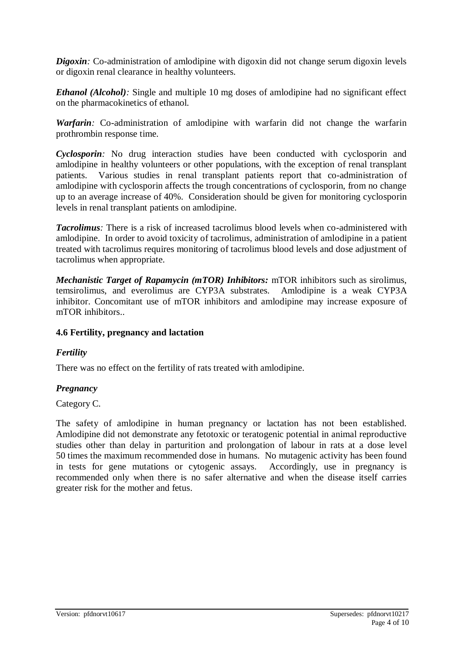*Digoxin*: Co-administration of amlodipine with digoxin did not change serum digoxin levels or digoxin renal clearance in healthy volunteers.

*Ethanol (Alcohol):* Single and multiple 10 mg doses of amlodipine had no significant effect on the pharmacokinetics of ethanol.

*Warfarin:* Co-administration of amlodipine with warfarin did not change the warfarin prothrombin response time.

*Cyclosporin:* No drug interaction studies have been conducted with cyclosporin and amlodipine in healthy volunteers or other populations, with the exception of renal transplant patients. Various studies in renal transplant patients report that co-administration of amlodipine with cyclosporin affects the trough concentrations of cyclosporin, from no change up to an average increase of 40%. Consideration should be given for monitoring cyclosporin levels in renal transplant patients on amlodipine.

*Tacrolimus:* There is a risk of increased tacrolimus blood levels when co-administered with amlodipine. In order to avoid toxicity of tacrolimus, administration of amlodipine in a patient treated with tacrolimus requires monitoring of tacrolimus blood levels and dose adjustment of tacrolimus when appropriate.

*Mechanistic Target of Rapamycin (mTOR) Inhibitors:* mTOR inhibitors such as sirolimus, temsirolimus, and everolimus are CYP3A substrates. Amlodipine is a weak CYP3A inhibitor. Concomitant use of mTOR inhibitors and amlodipine may increase exposure of mTOR inhibitors..

## **4.6 Fertility, pregnancy and lactation**

# *Fertility*

There was no effect on the fertility of rats treated with amlodipine.

# *Pregnancy*

## Category C.

The safety of amlodipine in human pregnancy or lactation has not been established. Amlodipine did not demonstrate any fetotoxic or teratogenic potential in animal reproductive studies other than delay in parturition and prolongation of labour in rats at a dose level 50 times the maximum recommended dose in humans. No mutagenic activity has been found in tests for gene mutations or cytogenic assays. Accordingly, use in pregnancy is recommended only when there is no safer alternative and when the disease itself carries greater risk for the mother and fetus.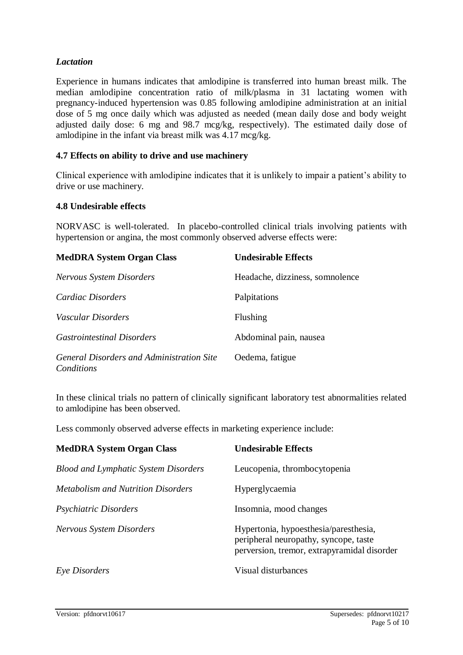# *Lactation*

Experience in humans indicates that amlodipine is transferred into human breast milk. The median amlodipine concentration ratio of milk/plasma in 31 lactating women with pregnancy-induced hypertension was 0.85 following amlodipine administration at an initial dose of 5 mg once daily which was adjusted as needed (mean daily dose and body weight adjusted daily dose: 6 mg and 98.7 mcg/kg, respectively). The estimated daily dose of amlodipine in the infant via breast milk was 4.17 mcg/kg.

## **4.7 Effects on ability to drive and use machinery**

Clinical experience with amlodipine indicates that it is unlikely to impair a patient's ability to drive or use machinery.

#### **4.8 Undesirable effects**

NORVASC is well-tolerated. In placebo-controlled clinical trials involving patients with hypertension or angina, the most commonly observed adverse effects were:

| <b>MedDRA System Organ Class</b>                        | <b>Undesirable Effects</b>      |
|---------------------------------------------------------|---------------------------------|
| <b>Nervous System Disorders</b>                         | Headache, dizziness, somnolence |
| <i>Cardiac Disorders</i>                                | Palpitations                    |
| Vascular Disorders                                      | Flushing                        |
| <i>Gastrointestinal Disorders</i>                       | Abdominal pain, nausea          |
| General Disorders and Administration Site<br>Conditions | Oedema, fatigue                 |

In these clinical trials no pattern of clinically significant laboratory test abnormalities related to amlodipine has been observed.

Less commonly observed adverse effects in marketing experience include:

| <b>MedDRA System Organ Class</b>            | <b>Undesirable Effects</b>                                                                                                    |
|---------------------------------------------|-------------------------------------------------------------------------------------------------------------------------------|
| <b>Blood and Lymphatic System Disorders</b> | Leucopenia, thrombocytopenia                                                                                                  |
| <i>Metabolism and Nutrition Disorders</i>   | Hyperglycaemia                                                                                                                |
| <i>Psychiatric Disorders</i>                | Insomnia, mood changes                                                                                                        |
| <b>Nervous System Disorders</b>             | Hypertonia, hypoesthesia/paresthesia,<br>peripheral neuropathy, syncope, taste<br>perversion, tremor, extrapyramidal disorder |
| Eye Disorders                               | Visual disturbances                                                                                                           |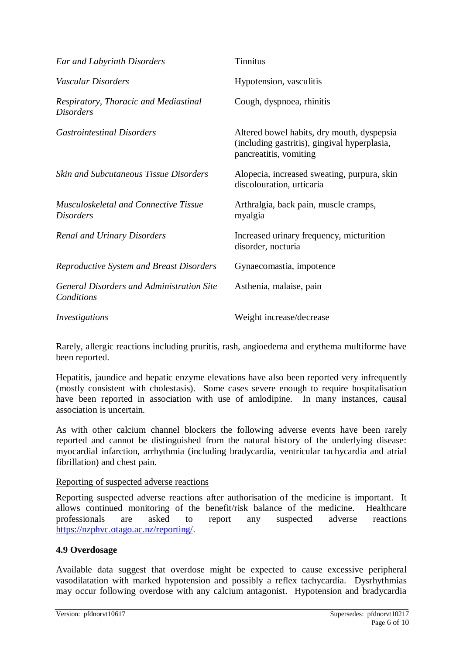| Ear and Labyrinth Disorders                                      | <b>Tinnitus</b>                                                                                                      |
|------------------------------------------------------------------|----------------------------------------------------------------------------------------------------------------------|
| Vascular Disorders                                               | Hypotension, vasculitis                                                                                              |
| Respiratory, Thoracic and Mediastinal<br><i>Disorders</i>        | Cough, dyspnoea, rhinitis                                                                                            |
| <i>Gastrointestinal Disorders</i>                                | Altered bowel habits, dry mouth, dyspepsia<br>(including gastritis), gingival hyperplasia,<br>pancreatitis, vomiting |
| <b>Skin and Subcutaneous Tissue Disorders</b>                    | Alopecia, increased sweating, purpura, skin<br>discolouration, urticaria                                             |
| <b>Musculoskeletal and Connective Tissue</b><br><b>Disorders</b> | Arthralgia, back pain, muscle cramps,<br>myalgia                                                                     |
| <b>Renal and Urinary Disorders</b>                               | Increased urinary frequency, micturition<br>disorder, nocturia                                                       |
| <b>Reproductive System and Breast Disorders</b>                  | Gynaecomastia, impotence                                                                                             |
| <b>General Disorders and Administration Site</b><br>Conditions   | Asthenia, malaise, pain                                                                                              |
| Investigations                                                   | Weight increase/decrease                                                                                             |

Rarely, allergic reactions including pruritis, rash, angioedema and erythema multiforme have been reported.

Hepatitis, jaundice and hepatic enzyme elevations have also been reported very infrequently (mostly consistent with cholestasis). Some cases severe enough to require hospitalisation have been reported in association with use of amlodipine. In many instances, causal association is uncertain.

As with other calcium channel blockers the following adverse events have been rarely reported and cannot be distinguished from the natural history of the underlying disease: myocardial infarction, arrhythmia (including bradycardia, ventricular tachycardia and atrial fibrillation) and chest pain.

## Reporting of suspected adverse reactions

Reporting suspected adverse reactions after authorisation of the medicine is important. It allows continued monitoring of the benefit/risk balance of the medicine. Healthcare professionals are asked to report any suspected adverse reactions [https://nzphvc.otago.ac.nz/reporting/.](https://nzphvc.otago.ac.nz/reporting/)

## **4.9 Overdosage**

Available data suggest that overdose might be expected to cause excessive peripheral vasodilatation with marked hypotension and possibly a reflex tachycardia. Dysrhythmias may occur following overdose with any calcium antagonist. Hypotension and bradycardia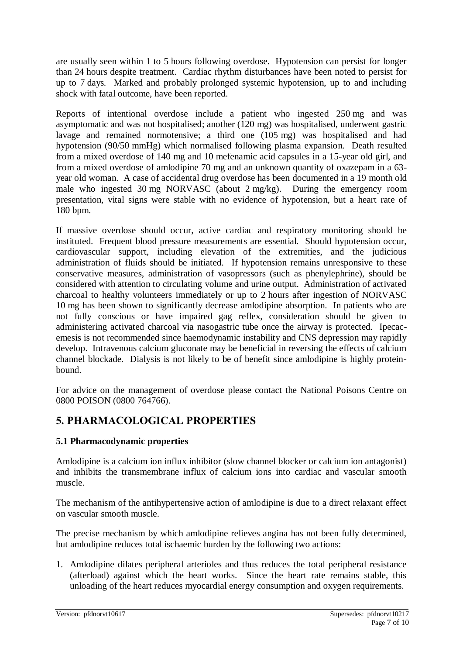are usually seen within 1 to 5 hours following overdose. Hypotension can persist for longer than 24 hours despite treatment*.* Cardiac rhythm disturbances have been noted to persist for up to 7 days*.* Marked and probably prolonged systemic hypotension, up to and including shock with fatal outcome, have been reported.

Reports of intentional overdose include a patient who ingested 250 mg and was asymptomatic and was not hospitalised; another (120 mg) was hospitalised, underwent gastric lavage and remained normotensive; a third one (105 mg) was hospitalised and had hypotension (90/50 mmHg) which normalised following plasma expansion. Death resulted from a mixed overdose of 140 mg and 10 mefenamic acid capsules in a 15-year old girl, and from a mixed overdose of amlodipine 70 mg and an unknown quantity of oxazepam in a 63 year old woman. A case of accidental drug overdose has been documented in a 19 month old male who ingested 30 mg NORVASC (about 2 mg/kg). During the emergency room presentation, vital signs were stable with no evidence of hypotension, but a heart rate of 180 bpm.

If massive overdose should occur, active cardiac and respiratory monitoring should be instituted. Frequent blood pressure measurements are essential. Should hypotension occur, cardiovascular support, including elevation of the extremities, and the judicious administration of fluids should be initiated. If hypotension remains unresponsive to these conservative measures, administration of vasopressors (such as phenylephrine), should be considered with attention to circulating volume and urine output. Administration of activated charcoal to healthy volunteers immediately or up to 2 hours after ingestion of NORVASC 10 mg has been shown to significantly decrease amlodipine absorption. In patients who are not fully conscious or have impaired gag reflex, consideration should be given to administering activated charcoal via nasogastric tube once the airway is protected. Ipecacemesis is not recommended since haemodynamic instability and CNS depression may rapidly develop. Intravenous calcium gluconate may be beneficial in reversing the effects of calcium channel blockade. Dialysis is not likely to be of benefit since amlodipine is highly proteinbound.

For advice on the management of overdose please contact the National Poisons Centre on 0800 POISON (0800 764766).

# **5. PHARMACOLOGICAL PROPERTIES**

# **5.1 Pharmacodynamic properties**

Amlodipine is a calcium ion influx inhibitor (slow channel blocker or calcium ion antagonist) and inhibits the transmembrane influx of calcium ions into cardiac and vascular smooth muscle.

The mechanism of the antihypertensive action of amlodipine is due to a direct relaxant effect on vascular smooth muscle.

The precise mechanism by which amlodipine relieves angina has not been fully determined, but amlodipine reduces total ischaemic burden by the following two actions:

1. Amlodipine dilates peripheral arterioles and thus reduces the total peripheral resistance (afterload) against which the heart works. Since the heart rate remains stable, this unloading of the heart reduces myocardial energy consumption and oxygen requirements.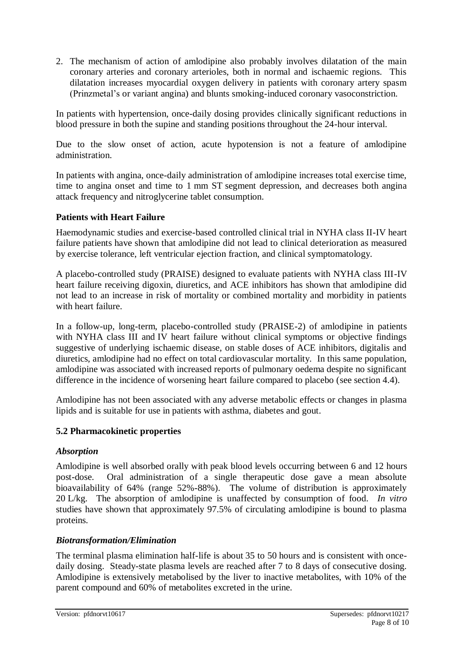2. The mechanism of action of amlodipine also probably involves dilatation of the main coronary arteries and coronary arterioles, both in normal and ischaemic regions. This dilatation increases myocardial oxygen delivery in patients with coronary artery spasm (Prinzmetal's or variant angina) and blunts smoking-induced coronary vasoconstriction.

In patients with hypertension, once-daily dosing provides clinically significant reductions in blood pressure in both the supine and standing positions throughout the 24-hour interval.

Due to the slow onset of action, acute hypotension is not a feature of amlodipine administration.

In patients with angina, once-daily administration of amlodipine increases total exercise time, time to angina onset and time to 1 mm ST segment depression, and decreases both angina attack frequency and nitroglycerine tablet consumption.

# **Patients with Heart Failure**

Haemodynamic studies and exercise-based controlled clinical trial in NYHA class II-IV heart failure patients have shown that amlodipine did not lead to clinical deterioration as measured by exercise tolerance, left ventricular ejection fraction, and clinical symptomatology.

A placebo-controlled study (PRAISE) designed to evaluate patients with NYHA class III-IV heart failure receiving digoxin, diuretics, and ACE inhibitors has shown that amlodipine did not lead to an increase in risk of mortality or combined mortality and morbidity in patients with heart failure.

In a follow-up, long-term, placebo-controlled study (PRAISE-2) of amlodipine in patients with NYHA class III and IV heart failure without clinical symptoms or objective findings suggestive of underlying ischaemic disease, on stable doses of ACE inhibitors, digitalis and diuretics, amlodipine had no effect on total cardiovascular mortality. In this same population, amlodipine was associated with increased reports of pulmonary oedema despite no significant difference in the incidence of worsening heart failure compared to placebo (see section 4.4).

Amlodipine has not been associated with any adverse metabolic effects or changes in plasma lipids and is suitable for use in patients with asthma, diabetes and gout.

## **5.2 Pharmacokinetic properties**

## *Absorption*

Amlodipine is well absorbed orally with peak blood levels occurring between 6 and 12 hours post-dose. Oral administration of a single therapeutic dose gave a mean absolute bioavailability of 64% (range 52%-88%). The volume of distribution is approximately 20 L/kg. The absorption of amlodipine is unaffected by consumption of food. *In vitro* studies have shown that approximately 97.5% of circulating amlodipine is bound to plasma proteins.

# *Biotransformation/Elimination*

The terminal plasma elimination half-life is about 35 to 50 hours and is consistent with oncedaily dosing. Steady-state plasma levels are reached after 7 to 8 days of consecutive dosing. Amlodipine is extensively metabolised by the liver to inactive metabolites, with 10% of the parent compound and 60% of metabolites excreted in the urine.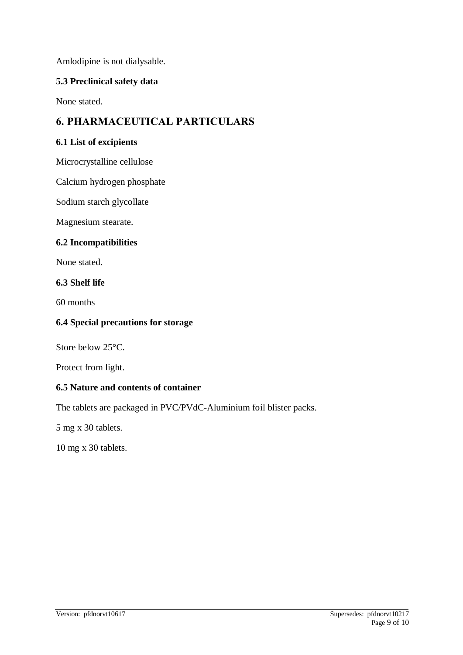Amlodipine is not dialysable.

## **5.3 Preclinical safety data**

None stated.

# **6. PHARMACEUTICAL PARTICULARS**

## **6.1 List of excipients**

Microcrystalline cellulose

Calcium hydrogen phosphate

Sodium starch glycollate

Magnesium stearate.

## **6.2 Incompatibilities**

None stated.

#### **6.3 Shelf life**

60 months

### **6.4 Special precautions for storage**

Store below 25°C.

Protect from light.

## **6.5 Nature and contents of container**

The tablets are packaged in PVC/PVdC-Aluminium foil blister packs.

5 mg x 30 tablets.

10 mg x 30 tablets.